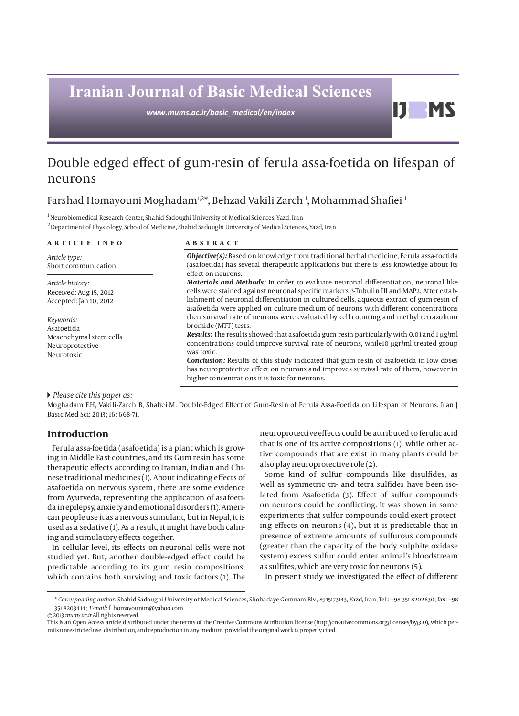# **Iranian Journal of Basic Medical Sciences**

*www.mums.ac.ir/basic\_medical/en/index*

# Double edged effect of gum-resin of ferula assa-foetida on lifespan of neurons

# Farshad Homayouni Moghadam½\*, Behzad Vakili Zarch ½, Mohammad Shafiei

 $^{\rm 1}$  Neurobiomedical Research Center, Shahid Sadoughi University of Medical Sciences, Yazd, Iran

2 Department of Physiology, School of Medicine, Shahid Sadoughi University of Medical Sciences, Yazd, Iran

| ARTICLE INFO                                                                       | <b>ABSTRACT</b>                                                                                                                                                                                                                                                                                                                                                                                                                                                                                                                                                                                                                                                                                                                                                                                                                                                                                                                                                                                                                                                                                                                                         |
|------------------------------------------------------------------------------------|---------------------------------------------------------------------------------------------------------------------------------------------------------------------------------------------------------------------------------------------------------------------------------------------------------------------------------------------------------------------------------------------------------------------------------------------------------------------------------------------------------------------------------------------------------------------------------------------------------------------------------------------------------------------------------------------------------------------------------------------------------------------------------------------------------------------------------------------------------------------------------------------------------------------------------------------------------------------------------------------------------------------------------------------------------------------------------------------------------------------------------------------------------|
| Article type:<br>Short communication                                               | <b>Objective(s):</b> Based on knowledge from traditional herbal medicine, Ferula assa-foetida<br>(asafoetida) has several therapeutic applications but there is less knowledge about its<br>effect on neurons.<br><b>Materials and Methods:</b> In order to evaluate neuronal differentiation, neuronal like<br>cells were stained against neuronal specific markers $\beta$ -Tubulin III and MAP2. After estab-<br>lishment of neuronal differentiation in cultured cells, aqueous extract of gum-resin of<br>asafoetida were applied on culture medium of neurons with different concentrations<br>then survival rate of neurons were evaluated by cell counting and methyl tetrazolium<br>bromide (MTT) tests.<br>Results: The results showed that as a foetida gum resin particularly with 0.01 and 1 µg/ml<br>concentrations could improve survival rate of neurons, while10 ugr/ml treated group<br>was toxic.<br>Conclusion: Results of this study indicated that gum resin of asafoetida in low doses<br>has neuroprotective effect on neurons and improves survival rate of them, however in<br>higher concentrations it is toxic for neurons. |
| Article history:<br>Received: Aug 15, 2012<br>Accepted: Jan 10, 2012               |                                                                                                                                                                                                                                                                                                                                                                                                                                                                                                                                                                                                                                                                                                                                                                                                                                                                                                                                                                                                                                                                                                                                                         |
| Keywords:<br>Asafoetida<br>Mesenchymal stem cells<br>Neuroprotective<br>Neurotoxic |                                                                                                                                                                                                                                                                                                                                                                                                                                                                                                                                                                                                                                                                                                                                                                                                                                                                                                                                                                                                                                                                                                                                                         |

 *Please cite this paper as:* 

Moghadam F.H, Vakili-Zarch B, Shafiei M. Double-Edged Effect of Gum-Resin of Ferula Assa-Foetida on Lifespan of Neurons. Iran J Basic Med Sci: 2013; 16: 668-71.

# **Introduction**

Ferula assa-foetida (asafoetida) is a plant which is growing in Middle East countries, and its Gum resin has some therapeutic effects according to Iranian, Indian and Chinese traditional medicines (1). About indicating effects of asafoetida on nervous system, there are some evidence from Ayurveda, representing the application of asafoetida in epilepsy, anxiety and emotional disorders (1). American people use it as a nervous stimulant, but in Nepal, it is used as a sedative (1). As a result, it might have both calming and stimulatory effects together.

In cellular level, its effects on neuronal cells were not studied yet. But, another double-edged effect could be predictable according to its gum resin compositions; which contains both surviving and toxic factors (1). The neuroprotective effects could be attributed to ferulic acid that is one of its active compositions (1), while other active compounds that are exist in many plants could be also play neuroprotective role (2).

D

**MS** 

Some kind of sulfur compounds like disulfides, as well as symmetric tri- and tetra sulfides have been isolated from Asafoetida (3). Effect of sulfur compounds on neurons could be conflicting. It was shown in some experiments that sulfur compounds could exert protecting effects on neurons (4)**,** but it is predictable that in presence of extreme amounts of sulfurous compounds (greater than the capacity of the body sulphite oxidase system) excess sulfur could enter animal's bloodstream as sulfites, which are very toxic for neurons (5).

In present study we investigated the effect of different

© 2013 *mums.ac.ir* All rights reserved.

This is an Open Access article distributed under the terms of the Creative Commons Attribution License (http://creativecommons.org/licenses/by/3.0), which permits unrestricted use, distribution, and reproduction in any medium, provided the original work is properly cited.

<sup>\*</sup> *Corresponding author:* Shahid Sadoughi University of Medical Sciences, Shohadaye Gomnam Blv., 8915173143, Yazd, Iran, Tel.: +98 351 8202630; fax: +98 351 8203414; *E-mail:* f\_homayounim@yahoo.com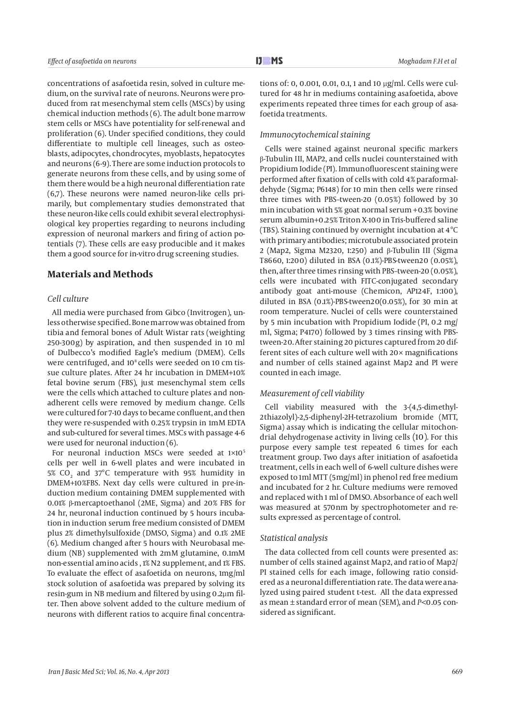concentrations of asafoetida resin, solved in culture medium, on the survival rate of neurons. Neurons were produced from rat mesenchymal stem cells (MSCs) by using chemical induction methods (6). The adult bone marrow stem cells or MSCs have potentiality for self-renewal and proliferation (6). Under specified conditions, they could differentiate to multiple cell lineages, such as osteoblasts, adipocytes, chondrocytes, myoblasts, hepatocytes and neurons (6-9). There are some induction protocols to generate neurons from these cells, and by using some of them there would be a high neuronal differentiation rate (6,7). These neurons were named neuron-like cells primarily, but complementary studies demonstrated that these neuron-like cells could exhibit several electrophysiological key properties regarding to neurons including expression of neuronal markers and firing of action potentials (7). These cells are easy producible and it makes them a good source for in-vitro drug screening studies.

# **Materials and Methods**

# *Cell culture*

All media were purchased from Gibco (Invitrogen), unless otherwise specified. Bone marrow was obtained from tibia and femoral bones of Adult Wistar rats (weighting 250-300g) by aspiration, and then suspended in 10 ml of Dulbecco's modified Eagle's medium (DMEM). Cells were centrifuged, and 10<sup>8</sup> cells were seeded on 10 cm tissue culture plates. After 24 hr incubation in DMEM+10% fetal bovine serum (FBS), just mesenchymal stem cells were the cells which attached to culture plates and nonadherent cells were removed by medium change. Cells were cultured for 7-10 days to became confluent, and then they were re-suspended with 0.25% trypsin in 1mM EDTA and sub-cultured for several times. MSCs with passage 4-6 were used for neuronal induction (6).

For neuronal induction MSCs were seeded at 1×105 cells per well in 6-well plates and were incubated in 5% CO<sub>2</sub> and 37°C temperature with 95% humidity in DMEM+10%FBS. Next day cells were cultured in pre-induction medium containing DMEM supplemented with 0.01% β-mercaptoethanol (2ME, Sigma) and 20% FBS for 24 hr, neuronal induction continued by 5 hours incubation in induction serum free medium consisted of DMEM plus 2% dimethylsulfoxide (DMSO, Sigma) and 0.1% 2ME (6). Medium changed after 5 hours with Neurobasal medium (NB) supplemented with 2mM glutamine, 0.1mM non-essential amino acids , 1% N2 supplement, and 1% FBS. To evaluate the effect of asafoetida on neurons, 1mg/ml stock solution of asafoetida was prepared by solving its resin-gum in NB medium and filtered by using 0.2µm filter. Then above solvent added to the culture medium of neurons with different ratios to acquire final concentrations of: 0, 0.001, 0.01, 0.1, 1 and 10 µg/ml. Cells were cultured for 48 hr in mediums containing asafoetida, above experiments repeated three times for each group of asafoetida treatments.

#### *Immunocytochemical staining*

Cells were stained against neuronal specific markers β-Tubulin III, MAP2, and cells nuclei counterstained with Propidium Iodide (PI). Immunofluorescent staining were performed after fixation of cells with cold 4% paraformaldehyde (Sigma; P6148) for 10 min then cells were rinsed three times with PBS–tween-20 (0.05%) followed by 30 min incubation with 5% goat normal serum +0.3% bovine serum albumin+0.25% Triton X-100 in Tris-buffered saline (TBS). Staining continued by overnight incubation at 4°C with primary antibodies; microtubule associated protein 2 (Map2, Sigma M2320, 1:250) and β-Tubulin III (Sigma T8660, 1:200) diluted in BSA (0.1%)-PBS-tween20 (0.05%), then, after three times rinsing with PBS–tween-20 (0.05%), cells were incubated with FITC-conjugated secondary antibody goat anti-mouse (Chemicon, AP124F, 1:100), diluted in BSA (0.1%)-PBS-tween20(0.05%), for 30 min at room temperature. Nuclei of cells were counterstained by 5 min incubation with Propidium Iodide (PI, 0.2 mg/ ml, Sigma; P4170) followed by 3 times rinsing with PBStween-20. After staining 20 pictures captured from 20 different sites of each culture well with 20× magnifications and number of cells stained against Map2 and PI were counted in each image.

#### *Measurement of cell viability*

Cell viability measured with the 3-(4,5-dimethyl-2thiazolyl)-2,5-diphenyl-2H-tetrazolium bromide (MTT, Sigma) assay which is indicating the cellular mitochondrial dehydrogenase activity in living cells (10). For this purpose every sample test repeated 6 times for each treatment group. Two days after initiation of asafoetida treatment, cells in each well of 6-well culture dishes were exposed to 1ml MTT (5mg/ml) in phenol red free medium and incubated for 2 hr. Culture mediums were removed and replaced with 1 ml of DMSO. Absorbance of each well was measured at 570nm by spectrophotometer and results expressed as percentage of control.

#### *Statistical analysis*

The data collected from cell counts were presented as: number of cells stained against Map2, and ratio of Map2/ PI stained cells for each image, following ratio considered as a neuronal differentiation rate. The data were analyzed using paired student t-test. All the data expressed as mean ± standard error of mean (SEM), and *P<*0.05 considered as significant.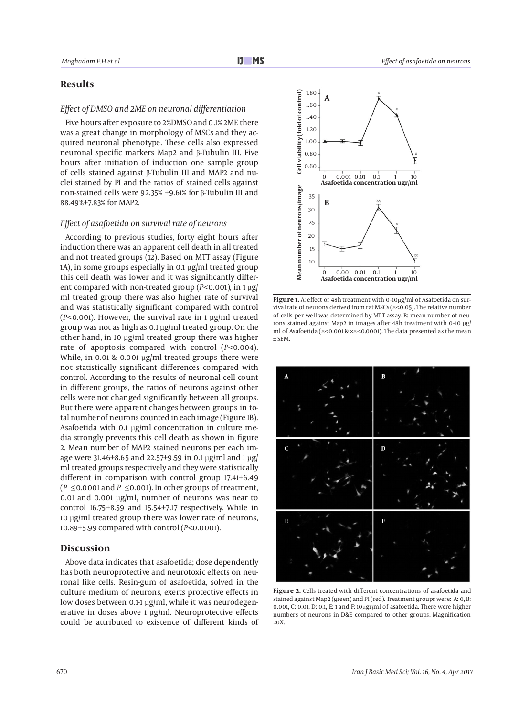# **Results**

## *Effect of DMSO and 2ME on neuronal differentiation*

Five hours after exposure to 2%DMSO and 0.1% 2ME there was a great change in morphology of MSCs and they acquired neuronal phenotype. These cells also expressed neuronal specific markers Map2 and β-Tubulin III. Five hours after initiation of induction one sample group of cells stained against β-Tubulin III and MAP2 and nuclei stained by PI and the ratios of stained cells against non-stained cells were 92.35% ±9.61% for β-Tubulin III and 88.49%±7.83% for MAP2.

#### *Effect of asafoetida on survival rate of neurons*

According to previous studies, forty eight hours after induction there was an apparent cell death in all treated and not treated groups (12). Based on MTT assay (Figure 1A), in some groups especially in 0.1 µg/ml treated group this cell death was lower and it was significantly different compared with non-treated group (*P<*0.001), in 1 µg/ ml treated group there was also higher rate of survival and was statistically significant compared with control (*P<*0.001). However, the survival rate in 1 µg/ml treated group was not as high as 0.1 µg/ml treated group. On the other hand, in 10 µg/ml treated group there was higher rate of apoptosis compared with control (*P<*0.004). While, in 0.01 & 0.001 µg/ml treated groups there were not statistically significant differences compared with control. According to the results of neuronal cell count in different groups, the ratios of neurons against other cells were not changed significantly between all groups. But there were apparent changes between groups in total number of neurons counted in each image (Figure 1B). Asafoetida with 0.1 µg/ml concentration in culture media strongly prevents this cell death as shown in figure 2. Mean number of MAP2 stained neurons per each image were 31.46±8.65 and 22.57±9.59 in 0.1 µg/ml and 1 µg/ ml treated groups respectively and they were statistically different in comparison with control group 17.41±6.49 (*P*≤0.0001 and *P*≤0.001). In other groups of treatment, 0.01 and 0.001 µg/ml, number of neurons was near to control 16.75±8.59 and 15.54±7.17 respectively. While in 10 µg/ml treated group there was lower rate of neurons, 10.89±5.99 compared with control (*P<*0.0001).

#### **Discussion**

Above data indicates that asafoetida; dose dependently has both neuroprotective and neurotoxic effects on neuronal like cells. Resin-gum of asafoetida, solved in the culture medium of neurons, exerts protective effects in low doses between 0.1-1 µg/ml, while it was neurodegenerative in doses above 1 µg/ml. Neuroprotective effects could be attributed to existence of different kinds of



Figure 1. A: effect of 48h treatment with 0-10µg/ml of Asafoetida on survival rate of neurons derived from rat MSCs (×<0.05). The relative number of cells per well was determined by MTT assay. B: mean number of neurons stained against Map2 in images after 48h treatment with 0–10 µg/ ml of Asafoetida (×<0.001 & ××<0.0001). The data presented as the mean ± SEM.



**Figure 2.** Cells treated with different concentrations of asafoetida and stained against Map2 (green) and PI (red). Treatment groups were: A: 0, B: 0.001, C: 0.01, D: 0.1, E: 1 and F: 10µgr/ml of asafoetida. There were higher numbers of neurons in D&E compared to other groups. Magnification 20X.